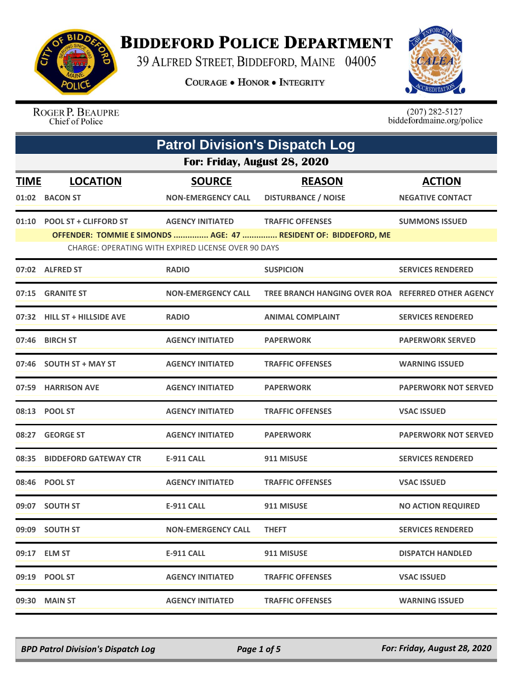

## **BIDDEFORD POLICE DEPARTMENT**

39 ALFRED STREET, BIDDEFORD, MAINE 04005

**COURAGE . HONOR . INTEGRITY** 



ROGER P. BEAUPRE Chief of Police

 $(207)$  282-5127<br>biddefordmaine.org/police

|             | <b>Patrol Division's Dispatch Log</b> |                                                     |                                                                 |                             |  |
|-------------|---------------------------------------|-----------------------------------------------------|-----------------------------------------------------------------|-----------------------------|--|
|             | For: Friday, August 28, 2020          |                                                     |                                                                 |                             |  |
| <u>TIME</u> | <b>LOCATION</b>                       | <b>SOURCE</b>                                       | <b>REASON</b>                                                   | <b>ACTION</b>               |  |
|             | 01:02 BACON ST                        | <b>NON-EMERGENCY CALL</b>                           | <b>DISTURBANCE / NOISE</b>                                      | <b>NEGATIVE CONTACT</b>     |  |
| 01:10       | <b>POOL ST + CLIFFORD ST</b>          | <b>AGENCY INITIATED</b>                             | <b>TRAFFIC OFFENSES</b>                                         | <b>SUMMONS ISSUED</b>       |  |
|             |                                       | CHARGE: OPERATING WITH EXPIRED LICENSE OVER 90 DAYS | OFFENDER: TOMMIE E SIMONDS  AGE: 47  RESIDENT OF: BIDDEFORD, ME |                             |  |
|             | 07:02 ALFRED ST                       | <b>RADIO</b>                                        | <b>SUSPICION</b>                                                | <b>SERVICES RENDERED</b>    |  |
|             | 07:15 GRANITE ST                      | <b>NON-EMERGENCY CALL</b>                           | TREE BRANCH HANGING OVER ROA REFERRED OTHER AGENCY              |                             |  |
|             | 07:32 HILL ST + HILLSIDE AVE          | <b>RADIO</b>                                        | <b>ANIMAL COMPLAINT</b>                                         | <b>SERVICES RENDERED</b>    |  |
|             | 07:46 BIRCH ST                        | <b>AGENCY INITIATED</b>                             | <b>PAPERWORK</b>                                                | <b>PAPERWORK SERVED</b>     |  |
|             | 07:46 SOUTH ST + MAY ST               | <b>AGENCY INITIATED</b>                             | <b>TRAFFIC OFFENSES</b>                                         | <b>WARNING ISSUED</b>       |  |
|             | 07:59 HARRISON AVE                    | <b>AGENCY INITIATED</b>                             | <b>PAPERWORK</b>                                                | <b>PAPERWORK NOT SERVED</b> |  |
|             | 08:13 POOL ST                         | <b>AGENCY INITIATED</b>                             | <b>TRAFFIC OFFENSES</b>                                         | <b>VSAC ISSUED</b>          |  |
| 08:27       | <b>GEORGE ST</b>                      | <b>AGENCY INITIATED</b>                             | <b>PAPERWORK</b>                                                | <b>PAPERWORK NOT SERVED</b> |  |
| 08:35       | <b>BIDDEFORD GATEWAY CTR</b>          | E-911 CALL                                          | 911 MISUSE                                                      | <b>SERVICES RENDERED</b>    |  |
|             | 08:46 POOL ST                         | <b>AGENCY INITIATED</b>                             | <b>TRAFFIC OFFENSES</b>                                         | <b>VSAC ISSUED</b>          |  |
|             | 09:07 SOUTH ST                        | <b>E-911 CALL</b>                                   | 911 MISUSE                                                      | <b>NO ACTION REQUIRED</b>   |  |
|             | 09:09 SOUTH ST                        | NON-EMERGENCY CALL                                  | <b>THEFT</b>                                                    | <b>SERVICES RENDERED</b>    |  |
|             | 09:17 ELM ST                          | E-911 CALL                                          | 911 MISUSE                                                      | <b>DISPATCH HANDLED</b>     |  |
|             | 09:19 POOL ST                         | <b>AGENCY INITIATED</b>                             | <b>TRAFFIC OFFENSES</b>                                         | <b>VSAC ISSUED</b>          |  |
|             | 09:30 MAIN ST                         | <b>AGENCY INITIATED</b>                             | <b>TRAFFIC OFFENSES</b>                                         | <b>WARNING ISSUED</b>       |  |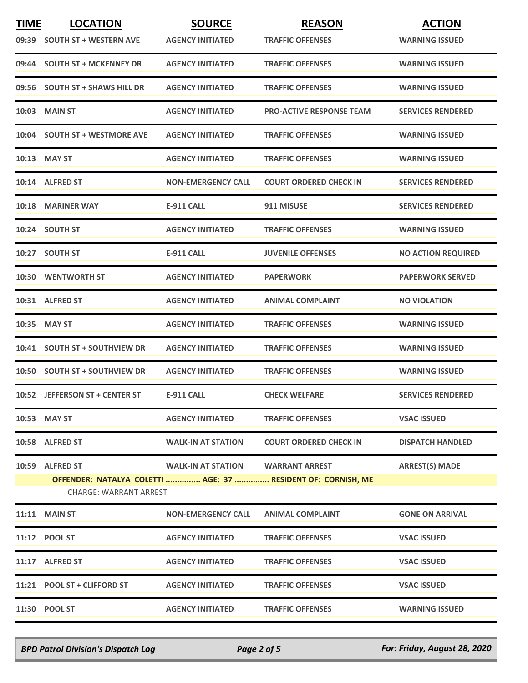| <b>TIME</b> | <b>LOCATION</b>                | <b>SOURCE</b>             | <b>REASON</b>                                                | <b>ACTION</b>             |
|-------------|--------------------------------|---------------------------|--------------------------------------------------------------|---------------------------|
|             | 09:39 SOUTH ST + WESTERN AVE   | <b>AGENCY INITIATED</b>   | <b>TRAFFIC OFFENSES</b>                                      | <b>WARNING ISSUED</b>     |
|             | 09:44 SOUTH ST + MCKENNEY DR   | <b>AGENCY INITIATED</b>   | <b>TRAFFIC OFFENSES</b>                                      | <b>WARNING ISSUED</b>     |
|             | 09:56 SOUTH ST + SHAWS HILL DR | <b>AGENCY INITIATED</b>   | <b>TRAFFIC OFFENSES</b>                                      | <b>WARNING ISSUED</b>     |
|             | 10:03 MAIN ST                  | <b>AGENCY INITIATED</b>   | <b>PRO-ACTIVE RESPONSE TEAM</b>                              | <b>SERVICES RENDERED</b>  |
|             | 10:04 SOUTH ST + WESTMORE AVE  | <b>AGENCY INITIATED</b>   | <b>TRAFFIC OFFENSES</b>                                      | <b>WARNING ISSUED</b>     |
|             | 10:13 MAY ST                   | <b>AGENCY INITIATED</b>   | <b>TRAFFIC OFFENSES</b>                                      | <b>WARNING ISSUED</b>     |
|             | 10:14 ALFRED ST                | <b>NON-EMERGENCY CALL</b> | <b>COURT ORDERED CHECK IN</b>                                | <b>SERVICES RENDERED</b>  |
|             | 10:18 MARINER WAY              | <b>E-911 CALL</b>         | 911 MISUSE                                                   | <b>SERVICES RENDERED</b>  |
|             | 10:24 SOUTH ST                 | <b>AGENCY INITIATED</b>   | <b>TRAFFIC OFFENSES</b>                                      | <b>WARNING ISSUED</b>     |
|             | 10:27 SOUTH ST                 | <b>E-911 CALL</b>         | <b>JUVENILE OFFENSES</b>                                     | <b>NO ACTION REQUIRED</b> |
|             | 10:30 WENTWORTH ST             | <b>AGENCY INITIATED</b>   | <b>PAPERWORK</b>                                             | <b>PAPERWORK SERVED</b>   |
|             | 10:31 ALFRED ST                | <b>AGENCY INITIATED</b>   | <b>ANIMAL COMPLAINT</b>                                      | <b>NO VIOLATION</b>       |
|             | 10:35 MAY ST                   | <b>AGENCY INITIATED</b>   | <b>TRAFFIC OFFENSES</b>                                      | <b>WARNING ISSUED</b>     |
|             | 10:41 SOUTH ST + SOUTHVIEW DR  | <b>AGENCY INITIATED</b>   | <b>TRAFFIC OFFENSES</b>                                      | <b>WARNING ISSUED</b>     |
|             | 10:50 SOUTH ST + SOUTHVIEW DR  | <b>AGENCY INITIATED</b>   | <b>TRAFFIC OFFENSES</b>                                      | <b>WARNING ISSUED</b>     |
|             | 10:52 JEFFERSON ST + CENTER ST | <b>E-911 CALL</b>         | <b>CHECK WELFARE</b>                                         | <b>SERVICES RENDERED</b>  |
|             | 10:53 MAY ST                   | <b>AGENCY INITIATED</b>   | <b>TRAFFIC OFFENSES</b>                                      | <b>VSAC ISSUED</b>        |
|             | 10:58 ALFRED ST                | <b>WALK-IN AT STATION</b> | <b>COURT ORDERED CHECK IN</b>                                | <b>DISPATCH HANDLED</b>   |
|             | 10:59 ALFRED ST                | WALK-IN AT STATION        | <b>WARRANT ARREST</b>                                        | <b>ARREST(S) MADE</b>     |
|             | <b>CHARGE: WARRANT ARREST</b>  |                           | OFFENDER: NATALYA COLETTI  AGE: 37  RESIDENT OF: CORNISH, ME |                           |
|             | <b>11:11 MAIN ST</b>           | <b>NON-EMERGENCY CALL</b> | <b>ANIMAL COMPLAINT</b>                                      | <b>GONE ON ARRIVAL</b>    |
|             | 11:12 POOL ST                  | <b>AGENCY INITIATED</b>   | <b>TRAFFIC OFFENSES</b>                                      | <b>VSAC ISSUED</b>        |
|             | 11:17 ALFRED ST                | <b>AGENCY INITIATED</b>   | <b>TRAFFIC OFFENSES</b>                                      | <b>VSAC ISSUED</b>        |
|             | 11:21 POOL ST + CLIFFORD ST    | <b>AGENCY INITIATED</b>   | <b>TRAFFIC OFFENSES</b>                                      | <b>VSAC ISSUED</b>        |
|             | 11:30 POOL ST                  | <b>AGENCY INITIATED</b>   | <b>TRAFFIC OFFENSES</b>                                      | <b>WARNING ISSUED</b>     |

*BPD Patrol Division's Dispatch Log Page 2 of 5 For: Friday, August 28, 2020*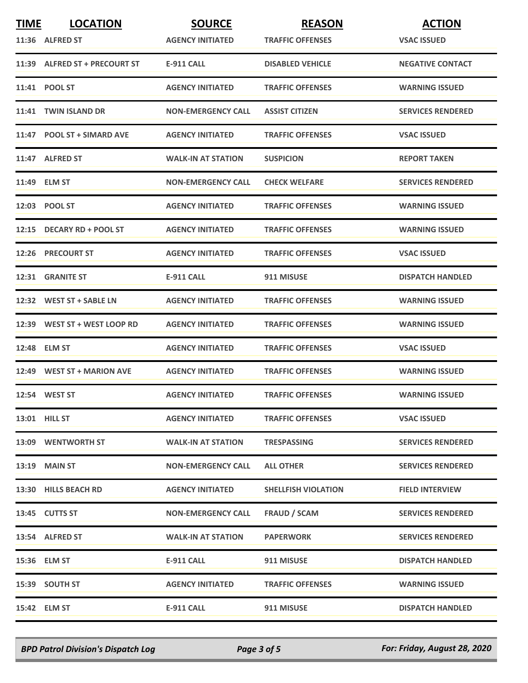| <b>TIME</b> | <b>LOCATION</b>               | <b>SOURCE</b>             | <b>REASON</b>              | <b>ACTION</b>            |
|-------------|-------------------------------|---------------------------|----------------------------|--------------------------|
|             | 11:36 ALFRED ST               | <b>AGENCY INITIATED</b>   | <b>TRAFFIC OFFENSES</b>    | <b>VSAC ISSUED</b>       |
|             | 11:39 ALFRED ST + PRECOURT ST | <b>E-911 CALL</b>         | <b>DISABLED VEHICLE</b>    | <b>NEGATIVE CONTACT</b>  |
|             | 11:41 POOL ST                 | <b>AGENCY INITIATED</b>   | <b>TRAFFIC OFFENSES</b>    | <b>WARNING ISSUED</b>    |
|             | 11:41 TWIN ISLAND DR          | <b>NON-EMERGENCY CALL</b> | <b>ASSIST CITIZEN</b>      | <b>SERVICES RENDERED</b> |
|             | 11:47 POOL ST + SIMARD AVE    | <b>AGENCY INITIATED</b>   | <b>TRAFFIC OFFENSES</b>    | <b>VSAC ISSUED</b>       |
|             | 11:47 ALFRED ST               | <b>WALK-IN AT STATION</b> | <b>SUSPICION</b>           | <b>REPORT TAKEN</b>      |
|             | 11:49 ELM ST                  | <b>NON-EMERGENCY CALL</b> | <b>CHECK WELFARE</b>       | <b>SERVICES RENDERED</b> |
|             | 12:03 POOL ST                 | <b>AGENCY INITIATED</b>   | <b>TRAFFIC OFFENSES</b>    | <b>WARNING ISSUED</b>    |
|             | 12:15 DECARY RD + POOL ST     | <b>AGENCY INITIATED</b>   | <b>TRAFFIC OFFENSES</b>    | <b>WARNING ISSUED</b>    |
|             | 12:26 PRECOURT ST             | <b>AGENCY INITIATED</b>   | <b>TRAFFIC OFFENSES</b>    | <b>VSAC ISSUED</b>       |
|             | 12:31 GRANITE ST              | <b>E-911 CALL</b>         | 911 MISUSE                 | <b>DISPATCH HANDLED</b>  |
|             | 12:32 WEST ST + SABLE LN      | <b>AGENCY INITIATED</b>   | <b>TRAFFIC OFFENSES</b>    | <b>WARNING ISSUED</b>    |
|             | 12:39 WEST ST + WEST LOOP RD  | <b>AGENCY INITIATED</b>   | <b>TRAFFIC OFFENSES</b>    | <b>WARNING ISSUED</b>    |
|             | 12:48 ELM ST                  | <b>AGENCY INITIATED</b>   | <b>TRAFFIC OFFENSES</b>    | <b>VSAC ISSUED</b>       |
|             | 12:49 WEST ST + MARION AVE    | <b>AGENCY INITIATED</b>   | <b>TRAFFIC OFFENSES</b>    | <b>WARNING ISSUED</b>    |
|             | 12:54 WEST ST                 | <b>AGENCY INITIATED</b>   | <b>TRAFFIC OFFENSES</b>    | <b>WARNING ISSUED</b>    |
|             | 13:01 HILL ST                 | <b>AGENCY INITIATED</b>   | <b>TRAFFIC OFFENSES</b>    | <b>VSAC ISSUED</b>       |
|             | 13:09 WENTWORTH ST            | <b>WALK-IN AT STATION</b> | <b>TRESPASSING</b>         | <b>SERVICES RENDERED</b> |
|             | $13:19$ MAIN ST               | <b>NON-EMERGENCY CALL</b> | <b>ALL OTHER</b>           | <b>SERVICES RENDERED</b> |
|             | 13:30 HILLS BEACH RD          | <b>AGENCY INITIATED</b>   | <b>SHELLFISH VIOLATION</b> | <b>FIELD INTERVIEW</b>   |
|             | 13:45 CUTTS ST                | <b>NON-EMERGENCY CALL</b> | FRAUD / SCAM               | <b>SERVICES RENDERED</b> |
|             | 13:54 ALFRED ST               | <b>WALK-IN AT STATION</b> | <b>PAPERWORK</b>           | <b>SERVICES RENDERED</b> |
|             | 15:36 ELM ST                  | E-911 CALL                | 911 MISUSE                 | <b>DISPATCH HANDLED</b>  |
|             | 15:39 SOUTH ST                | <b>AGENCY INITIATED</b>   | <b>TRAFFIC OFFENSES</b>    | <b>WARNING ISSUED</b>    |
|             | 15:42 ELM ST                  | E-911 CALL                | 911 MISUSE                 | <b>DISPATCH HANDLED</b>  |

*BPD Patrol Division's Dispatch Log Page 3 of 5 For: Friday, August 28, 2020*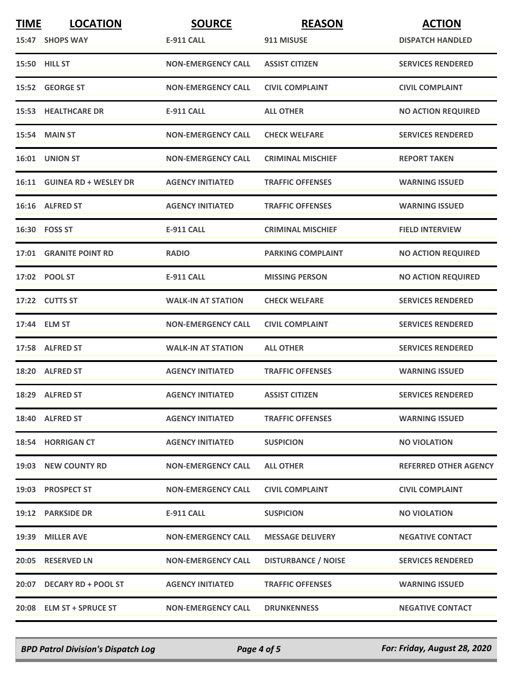| <b>TIME</b> | <b>LOCATION</b>             | <b>SOURCE</b>             | <b>REASON</b>              | <b>ACTION</b>                |
|-------------|-----------------------------|---------------------------|----------------------------|------------------------------|
|             | 15:47 SHOPS WAY             | <b>E-911 CALL</b>         | 911 MISUSE                 | <b>DISPATCH HANDLED</b>      |
|             | 15:50 HILL ST               | <b>NON-EMERGENCY CALL</b> | <b>ASSIST CITIZEN</b>      | <b>SERVICES RENDERED</b>     |
|             | 15:52 GEORGE ST             | <b>NON-EMERGENCY CALL</b> | <b>CIVIL COMPLAINT</b>     | <b>CIVIL COMPLAINT</b>       |
|             | <b>15:53 HEALTHCARE DR</b>  | E-911 CALL                | <b>ALL OTHER</b>           | <b>NO ACTION REQUIRED</b>    |
|             | 15:54 MAIN ST               | <b>NON-EMERGENCY CALL</b> | <b>CHECK WELFARE</b>       | <b>SERVICES RENDERED</b>     |
|             | 16:01 UNION ST              | <b>NON-EMERGENCY CALL</b> | <b>CRIMINAL MISCHIEF</b>   | <b>REPORT TAKEN</b>          |
|             | 16:11 GUINEA RD + WESLEY DR | <b>AGENCY INITIATED</b>   | <b>TRAFFIC OFFENSES</b>    | <b>WARNING ISSUED</b>        |
|             | 16:16 ALFRED ST             | <b>AGENCY INITIATED</b>   | <b>TRAFFIC OFFENSES</b>    | <b>WARNING ISSUED</b>        |
|             | 16:30 FOSS ST               | <b>E-911 CALL</b>         | <b>CRIMINAL MISCHIEF</b>   | <b>FIELD INTERVIEW</b>       |
|             | 17:01 GRANITE POINT RD      | <b>RADIO</b>              | <b>PARKING COMPLAINT</b>   | <b>NO ACTION REQUIRED</b>    |
|             | 17:02 POOL ST               | <b>E-911 CALL</b>         | <b>MISSING PERSON</b>      | <b>NO ACTION REQUIRED</b>    |
|             | 17:22 CUTTS ST              | <b>WALK-IN AT STATION</b> | <b>CHECK WELFARE</b>       | <b>SERVICES RENDERED</b>     |
|             | 17:44 ELM ST                | <b>NON-EMERGENCY CALL</b> | <b>CIVIL COMPLAINT</b>     | <b>SERVICES RENDERED</b>     |
|             | 17:58 ALFRED ST             | <b>WALK-IN AT STATION</b> | <b>ALL OTHER</b>           | <b>SERVICES RENDERED</b>     |
|             | 18:20 ALFRED ST             | <b>AGENCY INITIATED</b>   | <b>TRAFFIC OFFENSES</b>    | <b>WARNING ISSUED</b>        |
|             | 18:29 ALFRED ST             | <b>AGENCY INITIATED</b>   | <b>ASSIST CITIZEN</b>      | <b>SERVICES RENDERED</b>     |
|             | 18:40 ALFRED ST             | <b>AGENCY INITIATED</b>   | <b>TRAFFIC OFFENSES</b>    | <b>WARNING ISSUED</b>        |
|             | 18:54 HORRIGAN CT           | <b>AGENCY INITIATED</b>   | <b>SUSPICION</b>           | <b>NO VIOLATION</b>          |
|             | 19:03 NEW COUNTY RD         | <b>NON-EMERGENCY CALL</b> | <b>ALL OTHER</b>           | <b>REFERRED OTHER AGENCY</b> |
|             | 19:03 PROSPECT ST           | <b>NON-EMERGENCY CALL</b> | <b>CIVIL COMPLAINT</b>     | <b>CIVIL COMPLAINT</b>       |
|             | 19:12 PARKSIDE DR           | <b>E-911 CALL</b>         | <b>SUSPICION</b>           | <b>NO VIOLATION</b>          |
|             | 19:39 MILLER AVE            | <b>NON-EMERGENCY CALL</b> | <b>MESSAGE DELIVERY</b>    | <b>NEGATIVE CONTACT</b>      |
|             | 20:05 RESERVED LN           | <b>NON-EMERGENCY CALL</b> | <b>DISTURBANCE / NOISE</b> | <b>SERVICES RENDERED</b>     |
|             | 20:07 DECARY RD + POOL ST   | <b>AGENCY INITIATED</b>   | <b>TRAFFIC OFFENSES</b>    | <b>WARNING ISSUED</b>        |
|             | 20:08 ELM ST + SPRUCE ST    | <b>NON-EMERGENCY CALL</b> | <b>DRUNKENNESS</b>         | <b>NEGATIVE CONTACT</b>      |

*BPD Patrol Division's Dispatch Log Page 4 of 5 For: Friday, August 28, 2020*